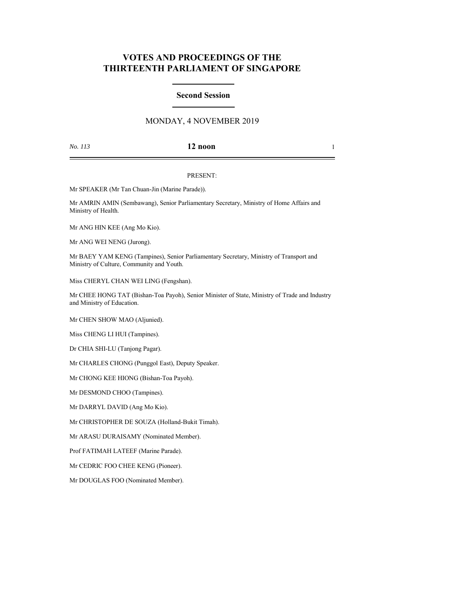# **VOTES AND PROCEEDINGS OF THE THIRTEENTH PARLIAMENT OF SINGAPORE**

### **Second Session**

# MONDAY, 4 NOVEMBER 2019

## *No. 113* **12 noon** 1

### PRESENT:

Mr SPEAKER (Mr Tan Chuan-Jin (Marine Parade)).

Mr AMRIN AMIN (Sembawang), Senior Parliamentary Secretary, Ministry of Home Affairs and Ministry of Health.

Mr ANG HIN KEE (Ang Mo Kio).

Mr ANG WEI NENG (Jurong).

Mr BAEY YAM KENG (Tampines), Senior Parliamentary Secretary, Ministry of Transport and Ministry of Culture, Community and Youth.

Miss CHERYL CHAN WEI LING (Fengshan).

Mr CHEE HONG TAT (Bishan-Toa Payoh), Senior Minister of State, Ministry of Trade and Industry and Ministry of Education.

Mr CHEN SHOW MAO (Aljunied).

Miss CHENG LI HUI (Tampines).

Dr CHIA SHI-LU (Tanjong Pagar).

Mr CHARLES CHONG (Punggol East), Deputy Speaker.

Mr CHONG KEE HIONG (Bishan-Toa Payoh).

Mr DESMOND CHOO (Tampines).

Mr DARRYL DAVID (Ang Mo Kio).

Mr CHRISTOPHER DE SOUZA (Holland-Bukit Timah).

Mr ARASU DURAISAMY (Nominated Member).

Prof FATIMAH LATEEF (Marine Parade).

Mr CEDRIC FOO CHEE KENG (Pioneer).

Mr DOUGLAS FOO (Nominated Member).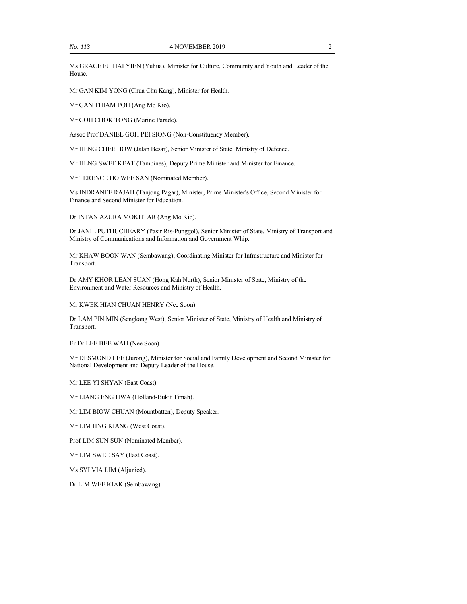Ms GRACE FU HAI YIEN (Yuhua), Minister for Culture, Community and Youth and Leader of the House.

Mr GAN KIM YONG (Chua Chu Kang), Minister for Health.

Mr GAN THIAM POH (Ang Mo Kio).

Mr GOH CHOK TONG (Marine Parade).

Assoc Prof DANIEL GOH PEI SIONG (Non-Constituency Member).

Mr HENG CHEE HOW (Jalan Besar), Senior Minister of State, Ministry of Defence.

Mr HENG SWEE KEAT (Tampines), Deputy Prime Minister and Minister for Finance.

Mr TERENCE HO WEE SAN (Nominated Member).

Ms INDRANEE RAJAH (Tanjong Pagar), Minister, Prime Minister's Office, Second Minister for Finance and Second Minister for Education.

Dr INTAN AZURA MOKHTAR (Ang Mo Kio).

Dr JANIL PUTHUCHEARY (Pasir Ris-Punggol), Senior Minister of State, Ministry of Transport and Ministry of Communications and Information and Government Whip.

Mr KHAW BOON WAN (Sembawang), Coordinating Minister for Infrastructure and Minister for Transport.

Dr AMY KHOR LEAN SUAN (Hong Kah North), Senior Minister of State, Ministry of the Environment and Water Resources and Ministry of Health.

Mr KWEK HIAN CHUAN HENRY (Nee Soon).

Dr LAM PIN MIN (Sengkang West), Senior Minister of State, Ministry of Health and Ministry of Transport.

Er Dr LEE BEE WAH (Nee Soon).

Mr DESMOND LEE (Jurong), Minister for Social and Family Development and Second Minister for National Development and Deputy Leader of the House.

Mr LEE YI SHYAN (East Coast).

Mr LIANG ENG HWA (Holland-Bukit Timah).

Mr LIM BIOW CHUAN (Mountbatten), Deputy Speaker.

Mr LIM HNG KIANG (West Coast).

Prof LIM SUN SUN (Nominated Member).

Mr LIM SWEE SAY (East Coast).

Ms SYLVIA LIM (Aljunied).

Dr LIM WEE KIAK (Sembawang).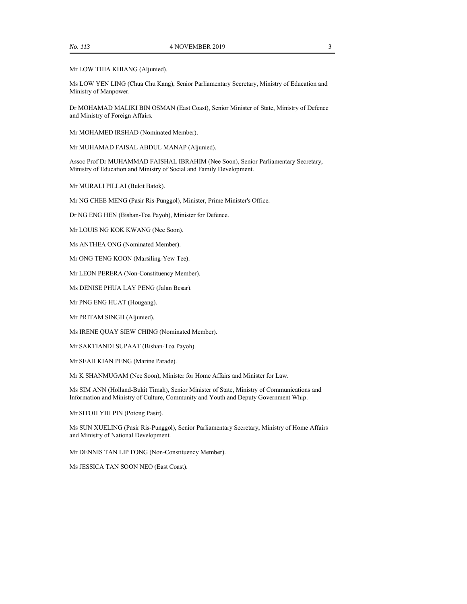Mr LOW THIA KHIANG (Aljunied).

Ms LOW YEN LING (Chua Chu Kang), Senior Parliamentary Secretary, Ministry of Education and Ministry of Manpower.

Dr MOHAMAD MALIKI BIN OSMAN (East Coast), Senior Minister of State, Ministry of Defence and Ministry of Foreign Affairs.

Mr MOHAMED IRSHAD (Nominated Member).

Mr MUHAMAD FAISAL ABDUL MANAP (Aljunied).

Assoc Prof Dr MUHAMMAD FAISHAL IBRAHIM (Nee Soon), Senior Parliamentary Secretary, Ministry of Education and Ministry of Social and Family Development.

Mr MURALI PILLAI (Bukit Batok).

Mr NG CHEE MENG (Pasir Ris-Punggol), Minister, Prime Minister's Office.

Dr NG ENG HEN (Bishan-Toa Payoh), Minister for Defence.

Mr LOUIS NG KOK KWANG (Nee Soon).

Ms ANTHEA ONG (Nominated Member).

Mr ONG TENG KOON (Marsiling-Yew Tee).

Mr LEON PERERA (Non-Constituency Member).

Ms DENISE PHUA LAY PENG (Jalan Besar).

Mr PNG ENG HUAT (Hougang).

Mr PRITAM SINGH (Aljunied).

Ms IRENE QUAY SIEW CHING (Nominated Member).

Mr SAKTIANDI SUPAAT (Bishan-Toa Payoh).

Mr SEAH KIAN PENG (Marine Parade).

Mr K SHANMUGAM (Nee Soon), Minister for Home Affairs and Minister for Law.

Ms SIM ANN (Holland-Bukit Timah), Senior Minister of State, Ministry of Communications and Information and Ministry of Culture, Community and Youth and Deputy Government Whip.

Mr SITOH YIH PIN (Potong Pasir).

Ms SUN XUELING (Pasir Ris-Punggol), Senior Parliamentary Secretary, Ministry of Home Affairs and Ministry of National Development.

Mr DENNIS TAN LIP FONG (Non-Constituency Member).

Ms JESSICA TAN SOON NEO (East Coast).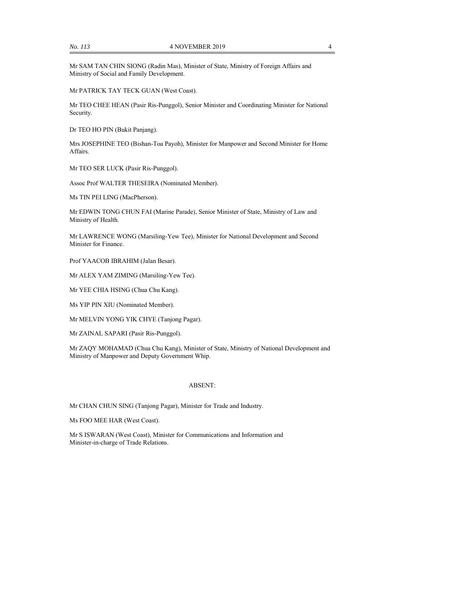Mr SAM TAN CHIN SIONG (Radin Mas), Minister of State, Ministry of Foreign Affairs and Ministry of Social and Family Development.

Mr PATRICK TAY TECK GUAN (West Coast).

Mr TEO CHEE HEAN (Pasir Ris-Punggol), Senior Minister and Coordinating Minister for National Security.

Dr TEO HO PIN (Bukit Panjang).

Mrs JOSEPHINE TEO (Bishan-Toa Payoh), Minister for Manpower and Second Minister for Home Affairs.

Mr TEO SER LUCK (Pasir Ris-Punggol).

Assoc Prof WALTER THESEIRA (Nominated Member).

Ms TIN PEI LING (MacPherson).

Mr EDWIN TONG CHUN FAI (Marine Parade), Senior Minister of State, Ministry of Law and Ministry of Health.

Mr LAWRENCE WONG (Marsiling-Yew Tee), Minister for National Development and Second Minister for Finance.

Prof YAACOB IBRAHIM (Jalan Besar).

Mr ALEX YAM ZIMING (Marsiling-Yew Tee).

Mr YEE CHIA HSING (Chua Chu Kang).

Ms YIP PIN XIU (Nominated Member).

Mr MELVIN YONG YIK CHYE (Tanjong Pagar).

Mr ZAINAL SAPARI (Pasir Ris-Punggol).

Mr ZAQY MOHAMAD (Chua Chu Kang), Minister of State, Ministry of National Development and Ministry of Manpower and Deputy Government Whip.

#### ABSENT:

Mr CHAN CHUN SING (Tanjong Pagar), Minister for Trade and Industry.

Ms FOO MEE HAR (West Coast).

Mr S ISWARAN (West Coast), Minister for Communications and Information and Minister-in-charge of Trade Relations.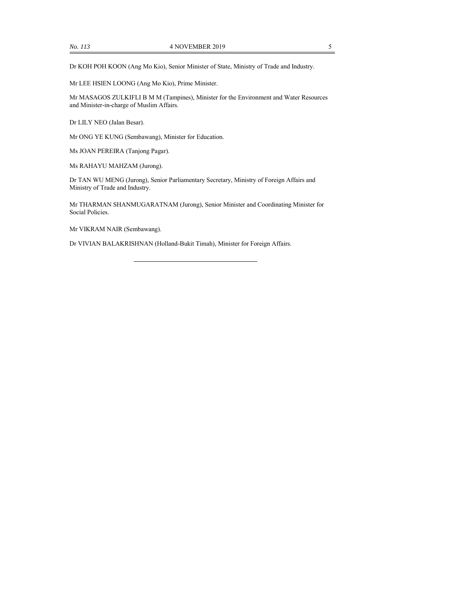Mr LEE HSIEN LOONG (Ang Mo Kio), Prime Minister.

Mr MASAGOS ZULKIFLI B M M (Tampines), Minister for the Environment and Water Resources and Minister-in-charge of Muslim Affairs.

Dr LILY NEO (Jalan Besar).

Mr ONG YE KUNG (Sembawang), Minister for Education.

Ms JOAN PEREIRA (Tanjong Pagar).

Ms RAHAYU MAHZAM (Jurong).

Dr TAN WU MENG (Jurong), Senior Parliamentary Secretary, Ministry of Foreign Affairs and Ministry of Trade and Industry.

Mr THARMAN SHANMUGARATNAM (Jurong), Senior Minister and Coordinating Minister for Social Policies.

Mr VIKRAM NAIR (Sembawang).

Dr VIVIAN BALAKRISHNAN (Holland-Bukit Timah), Minister for Foreign Affairs.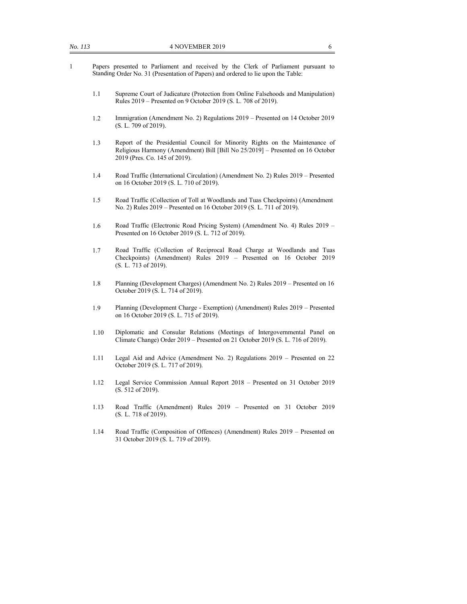- 1 Papers presented to Parliament and received by the Clerk of Parliament pursuant to Standing Order No. 31 (Presentation of Papers) and ordered to lie upon the Table:
	- 1.1 Supreme Court of Judicature (Protection from Online Falsehoods and Manipulation) Rules 2019 – Presented on 9 October 2019 (S. L. 708 of 2019).
	- 1.2 Immigration (Amendment No. 2) Regulations 2019 Presented on 14 October 2019 (S. L. 709 of 2019).
	- 1.3 Report of the Presidential Council for Minority Rights on the Maintenance of Religious Harmony (Amendment) Bill [Bill No 25/2019] – Presented on 16 October 2019 (Pres. Co. 145 of 2019).
	- 1.4 Road Traffic (International Circulation) (Amendment No. 2) Rules 2019 Presented on 16 October 2019 (S. L. 710 of 2019).
	- 1.5 Road Traffic (Collection of Toll at Woodlands and Tuas Checkpoints) (Amendment No. 2) Rules 2019 – Presented on 16 October 2019 (S. L. 711 of 2019).
	- 1.6 Road Traffic (Electronic Road Pricing System) (Amendment No. 4) Rules 2019 Presented on 16 October 2019 (S. L. 712 of 2019).
	- 1.7 Road Traffic (Collection of Reciprocal Road Charge at Woodlands and Tuas Checkpoints) (Amendment) Rules 2019 – Presented on 16 October 2019 (S. L. 713 of 2019).
	- 1.8 Planning (Development Charges) (Amendment No. 2) Rules 2019 Presented on 16 October 2019 (S. L. 714 of 2019).
	- 1.9 Planning (Development Charge Exemption) (Amendment) Rules 2019 Presented on 16 October 2019 (S. L. 715 of 2019).
	- 1.10 Diplomatic and Consular Relations (Meetings of Intergovernmental Panel on Climate Change) Order 2019 – Presented on 21 October 2019 (S. L. 716 of 2019).
	- 1.11 Legal Aid and Advice (Amendment No. 2) Regulations 2019 Presented on 22 October 2019 (S. L. 717 of 2019).
	- 1.12 Legal Service Commission Annual Report 2018 Presented on 31 October 2019 (S. 512 of 2019).
	- 1.13 Road Traffic (Amendment) Rules 2019 Presented on 31 October 2019 (S. L. 718 of 2019).
	- 1.14 Road Traffic (Composition of Offences) (Amendment) Rules 2019 Presented on 31 October 2019 (S. L. 719 of 2019).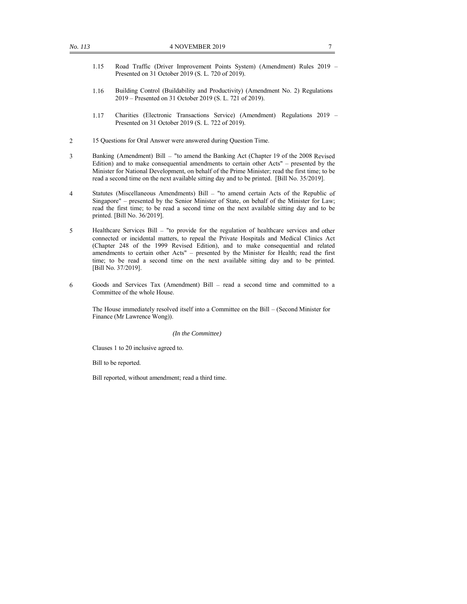- 1.15 Road Traffic (Driver Improvement Points System) (Amendment) Rules 2019 Presented on 31 October 2019 (S. L. 720 of 2019).
- 1.16 Building Control (Buildability and Productivity) (Amendment No. 2) Regulations 2019 – Presented on 31 October 2019 (S. L. 721 of 2019).
- 1.17 Charities (Electronic Transactions Service) (Amendment) Regulations 2019 Presented on 31 October 2019 (S. L. 722 of 2019).
- 2 15 Questions for Oral Answer were answered during Question Time.
- 3 Banking (Amendment) Bill "to amend the Banking Act (Chapter 19 of the 2008 Revised Edition) and to make consequential amendments to certain other Acts" – presented by the Minister for National Development, on behalf of the Prime Minister; read the first time; to be read a second time on the next available sitting day and to be printed. [Bill No. 35/2019].
- 4 Statutes (Miscellaneous Amendments) Bill "to amend certain Acts of the Republic of Singapore" – presented by the Senior Minister of State, on behalf of the Minister for Law; read the first time; to be read a second time on the next available sitting day and to be printed. [Bill No. 36/2019].
- 5 Healthcare Services Bill "to provide for the regulation of healthcare services and other connected or incidental matters, to repeal the Private Hospitals and Medical Clinics Act (Chapter 248 of the 1999 Revised Edition), and to make consequential and related amendments to certain other Acts" – presented by the Minister for Health; read the first time; to be read a second time on the next available sitting day and to be printed. [Bill No. 37/2019].
- 6 Goods and Services Tax (Amendment) Bill read a second time and committed to a Committee of the whole House.

The House immediately resolved itself into a Committee on the Bill – (Second Minister for Finance (Mr Lawrence Wong)).

#### *(In the Committee)*

Clauses 1 to 20 inclusive agreed to.

Bill to be reported.

Bill reported, without amendment; read a third time.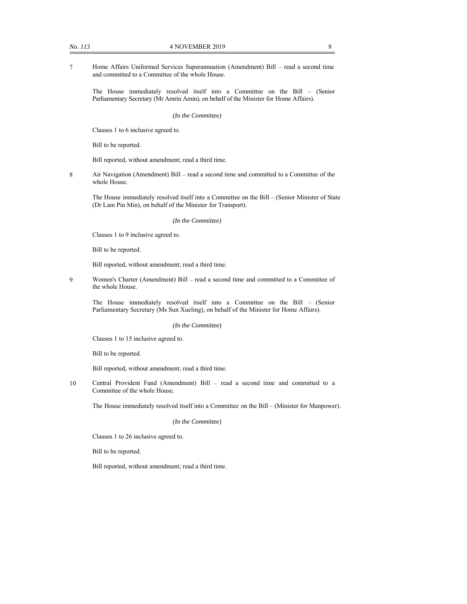7 Home Affairs Uniformed Services Superannuation (Amendment) Bill – read a second time and committed to a Committee of the whole House.

The House immediately resolved itself into a Committee on the Bill – (Senior Parliamentary Secretary (Mr Amrin Amin), on behalf of the Minister for Home Affairs).

*(In the Committee)*

Clauses 1 to 6 inclusive agreed to.

Bill to be reported.

Bill reported, without amendment; read a third time.

8 Air Navigation (Amendment) Bill – read a second time and committed to a Committee of the whole House.

The House immediately resolved itself into a Committee on the Bill – (Senior Minister of State (Dr Lam Pin Min), on behalf of the Minister for Transport).

*(In the Committee)*

Clauses 1 to 9 inclusive agreed to.

Bill to be reported.

Bill reported, without amendment; read a third time.

9 Women's Charter (Amendment) Bill – read a second time and committed to a Committee of the whole House.

The House immediately resolved itself into a Committee on the Bill – (Senior Parliamentary Secretary (Ms Sun Xueling), on behalf of the Minister for Home Affairs).

#### *(In the Committee)*

Clauses 1 to 15 inclusive agreed to.

Bill to be reported.

Bill reported, without amendment; read a third time.

10 Central Provident Fund (Amendment) Bill – read a second time and committed to a Committee of the whole House.

The House immediately resolved itself into a Committee on the Bill – (Minister for Manpower).

*(In the Committee)*

Clauses 1 to 26 inclusive agreed to.

Bill to be reported.

Bill reported, without amendment; read a third time.